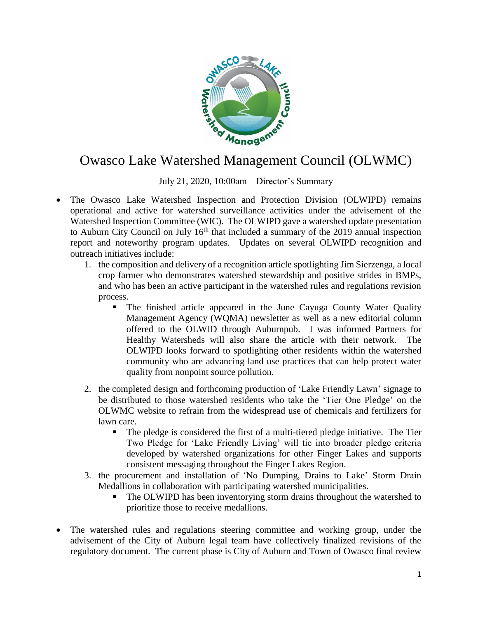

## Owasco Lake Watershed Management Council (OLWMC)

July 21, 2020, 10:00am – Director's Summary

- The Owasco Lake Watershed Inspection and Protection Division (OLWIPD) remains operational and active for watershed surveillance activities under the advisement of the Watershed Inspection Committee (WIC). The OLWIPD gave a watershed update presentation to Auburn City Council on July  $16<sup>th</sup>$  that included a summary of the 2019 annual inspection report and noteworthy program updates. Updates on several OLWIPD recognition and outreach initiatives include:
	- 1. the composition and delivery of a recognition article spotlighting Jim Sierzenga, a local crop farmer who demonstrates watershed stewardship and positive strides in BMPs, and who has been an active participant in the watershed rules and regulations revision process.
		- The finished article appeared in the June Cayuga County Water Quality Management Agency (WQMA) newsletter as well as a new editorial column offered to the OLWID through Auburnpub. I was informed Partners for Healthy Watersheds will also share the article with their network. The OLWIPD looks forward to spotlighting other residents within the watershed community who are advancing land use practices that can help protect water quality from nonpoint source pollution.
	- 2. the completed design and forthcoming production of 'Lake Friendly Lawn' signage to be distributed to those watershed residents who take the 'Tier One Pledge' on the OLWMC website to refrain from the widespread use of chemicals and fertilizers for lawn care.
		- The pledge is considered the first of a multi-tiered pledge initiative. The Tier Two Pledge for 'Lake Friendly Living' will tie into broader pledge criteria developed by watershed organizations for other Finger Lakes and supports consistent messaging throughout the Finger Lakes Region.
	- 3. the procurement and installation of 'No Dumping, Drains to Lake' Storm Drain Medallions in collaboration with participating watershed municipalities.
		- The OLWIPD has been inventorying storm drains throughout the watershed to prioritize those to receive medallions.
- The watershed rules and regulations steering committee and working group, under the advisement of the City of Auburn legal team have collectively finalized revisions of the regulatory document. The current phase is City of Auburn and Town of Owasco final review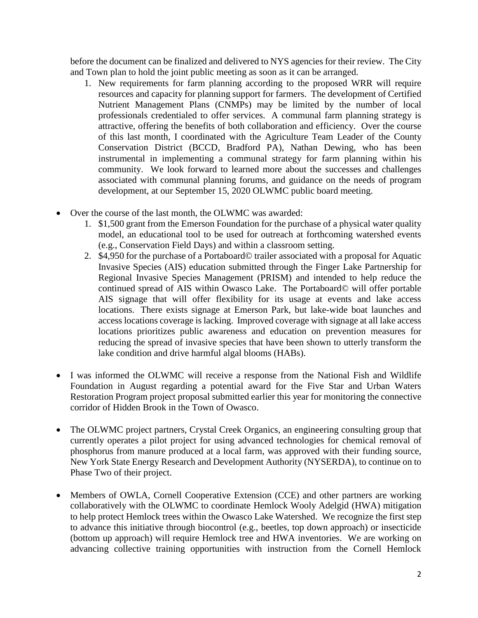before the document can be finalized and delivered to NYS agencies for their review. The City and Town plan to hold the joint public meeting as soon as it can be arranged.

- 1. New requirements for farm planning according to the proposed WRR will require resources and capacity for planning support for farmers. The development of Certified Nutrient Management Plans (CNMPs) may be limited by the number of local professionals credentialed to offer services. A communal farm planning strategy is attractive, offering the benefits of both collaboration and efficiency. Over the course of this last month, I coordinated with the Agriculture Team Leader of the County Conservation District (BCCD, Bradford PA), Nathan Dewing, who has been instrumental in implementing a communal strategy for farm planning within his community. We look forward to learned more about the successes and challenges associated with communal planning forums, and guidance on the needs of program development, at our September 15, 2020 OLWMC public board meeting.
- Over the course of the last month, the OLWMC was awarded:
	- 1. \$1,500 grant from the Emerson Foundation for the purchase of a physical water quality model, an educational tool to be used for outreach at forthcoming watershed events (e.g., Conservation Field Days) and within a classroom setting.
	- 2. \$4,950 for the purchase of a Portaboard© trailer associated with a proposal for Aquatic Invasive Species (AIS) education submitted through the Finger Lake Partnership for Regional Invasive Species Management (PRISM) and intended to help reduce the continued spread of AIS within Owasco Lake. The Portaboard© will offer portable AIS signage that will offer flexibility for its usage at events and lake access locations. There exists signage at Emerson Park, but lake-wide boat launches and access locations coverage is lacking. Improved coverage with signage at all lake access locations prioritizes public awareness and education on prevention measures for reducing the spread of invasive species that have been shown to utterly transform the lake condition and drive harmful algal blooms (HABs).
- I was informed the OLWMC will receive a response from the National Fish and Wildlife Foundation in August regarding a potential award for the Five Star and Urban Waters Restoration Program project proposal submitted earlier this year for monitoring the connective corridor of Hidden Brook in the Town of Owasco.
- The OLWMC project partners, Crystal Creek Organics, an engineering consulting group that currently operates a pilot project for using advanced technologies for chemical removal of phosphorus from manure produced at a local farm, was approved with their funding source, New York State Energy Research and Development Authority (NYSERDA), to continue on to Phase Two of their project.
- Members of OWLA, Cornell Cooperative Extension (CCE) and other partners are working collaboratively with the OLWMC to coordinate Hemlock Wooly Adelgid (HWA) mitigation to help protect Hemlock trees within the Owasco Lake Watershed. We recognize the first step to advance this initiative through biocontrol (e.g., beetles, top down approach) or insecticide (bottom up approach) will require Hemlock tree and HWA inventories. We are working on advancing collective training opportunities with instruction from the Cornell Hemlock